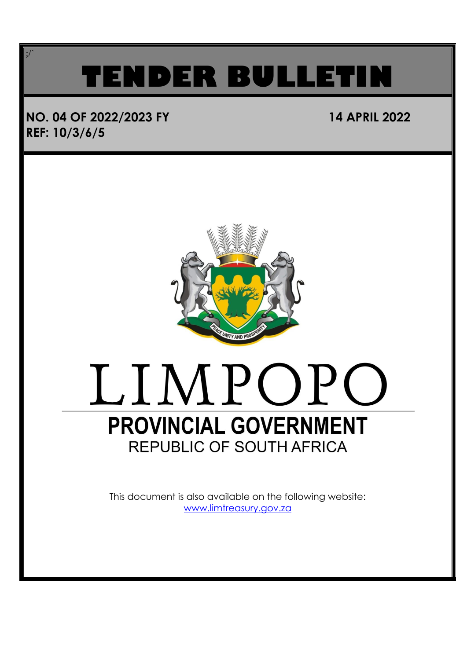### **TENDER BULLET**

### **NO. 04 OF 2022/2023 FY 14 APRIL 2022 REF: 10/3/6/5**

;/`



### LIMPOPO **PROVINCIAL GOVERNMENT REPUBLIC OF SOUTH AFRICA**

This document is also available on the following website: [www.limtreasury.gov.za](http://www.limtreasury.gov.za/)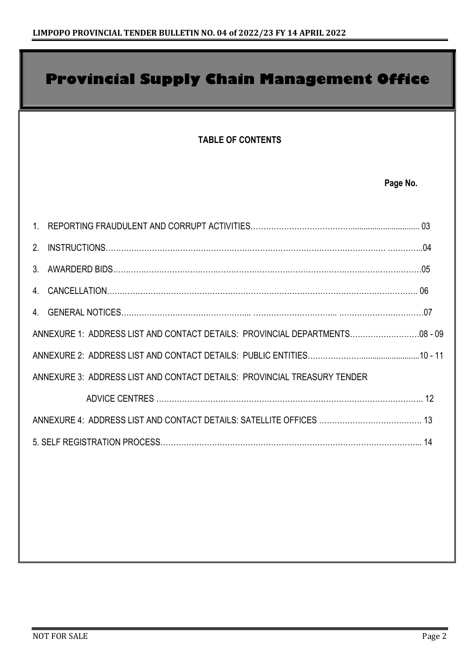## **TABLE OF CONTENTS Page No.** 1. REPORTING FRAUDULENT AND CORRUPT ACTIVITIES…………………………………................................ 03 2. INSTRUCTIONS………………………………………………………………………………………………. …………..04 3. AWARDERD BIDS…………………………………………………………………………………………………………05 4. CANCELLATION…………………………………………………………………………………………………………. 06 4. GENERAL NOTICES…………………………………………... …………………………... ……………………………07 ANNEXURE 1: ADDRESS LIST AND CONTACT DETAILS: PROVINCIAL DEPARTMENTS………………………08 - 09 ANNEXURE 2: ADDRESS LIST AND CONTACT DETAILS: PUBLIC ENTITIES…………………...........................10 - 11 ANNEXURE 3: ADDRESS LIST AND CONTACT DETAILS: PROVINCIAL TREASURY TENDER ADVICE CENTRES ………………………………………………………………………………………….. 12 ANNEXURE 4: ADDRESS LIST AND CONTACT DETAILS: SATELLITE OFFICES …………………………………. 13 5. SELF REGISTRATION PROCESS………………………………………………………………………………………... 14 **Provincial Supply Chain Management Office**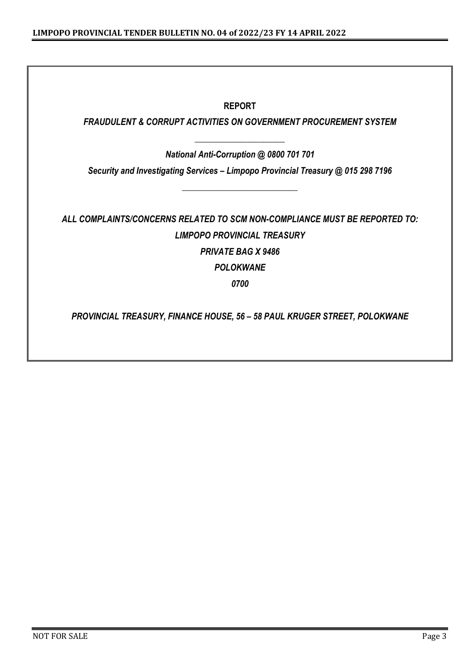#### **REPORT**

#### *FRAUDULENT & CORRUPT ACTIVITIES ON GOVERNMENT PROCUREMENT SYSTEM*

*\_\_\_\_\_\_\_\_\_\_\_\_\_\_\_\_\_\_\_\_\_ National Anti-Corruption @ 0800 701 701*

*Security and Investigating Services – Limpopo Provincial Treasury @ 015 298 7196*

*\_\_\_\_\_\_\_\_\_\_\_\_\_\_\_\_\_\_\_\_\_\_\_\_\_\_\_*

*ALL COMPLAINTS/CONCERNS RELATED TO SCM NON-COMPLIANCE MUST BE REPORTED TO: LIMPOPO PROVINCIAL TREASURY PRIVATE BAG X 9486 POLOKWANE 0700*

*PROVINCIAL TREASURY, FINANCE HOUSE, 56 – 58 PAUL KRUGER STREET, POLOKWANE*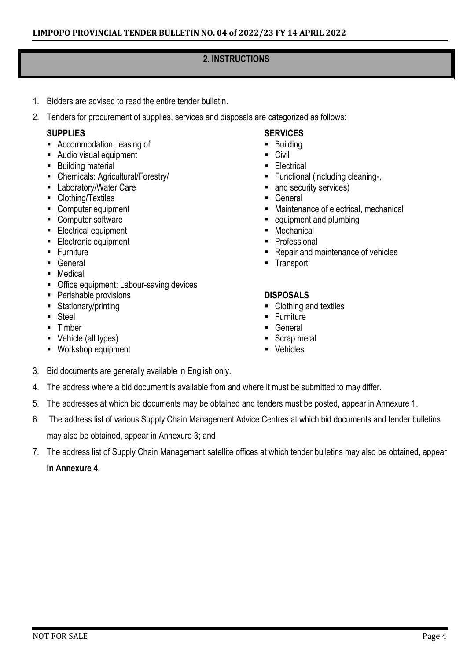#### **2. INSTRUCTIONS**

- 1. Bidders are advised to read the entire tender bulletin.
- 2. Tenders for procurement of supplies, services and disposals are categorized as follows:

#### **SUPPLIES**

- Accommodation, leasing of
- Audio visual equipment
- Building material
- Chemicals: Agricultural/Forestry/
- Laboratory/Water Care
- Clothing/Textiles
- Computer equipment
- Computer software
- **Electrical equipment**
- Electronic equipment
- Furniture
- General
- Medical
- Office equipment: Labour-saving devices
- Perishable provisions
- Stationary/printing
- Steel
- Timber
- Vehicle (all types)
- Workshop equipment

#### **SERVICES**

- Building
- Civil
- Electrical
- Functional (including cleaning-,
- and security services)
- General
- Maintenance of electrical, mechanical
- equipment and plumbing
- Mechanical
- Professional
- Repair and maintenance of vehicles
- Transport

#### **DISPOSALS**

- Clothing and textiles
- **Eurniture**
- General
- Scrap metal
- Vehicles
- 3. Bid documents are generally available in English only.
- 4. The address where a bid document is available from and where it must be submitted to may differ.
- 5. The addresses at which bid documents may be obtained and tenders must be posted, appear in Annexure 1.
- 6. The address list of various Supply Chain Management Advice Centres at which bid documents and tender bulletins may also be obtained, appear in Annexure 3; and
- 7. The address list of Supply Chain Management satellite offices at which tender bulletins may also be obtained, appear **in Annexure 4.**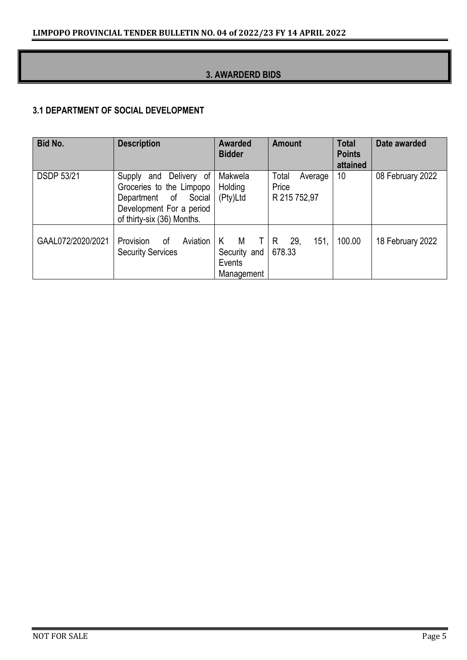#### **3. AWARDERD BIDS**

#### **3.1 DEPARTMENT OF SOCIAL DEVELOPMENT**

| <b>Bid No.</b>    | <b>Description</b>                                                                                                                         | <b>Awarded</b><br><b>Bidder</b>                      | <b>Amount</b>                             | <b>Total</b><br><b>Points</b><br>attained | Date awarded     |
|-------------------|--------------------------------------------------------------------------------------------------------------------------------------------|------------------------------------------------------|-------------------------------------------|-------------------------------------------|------------------|
| <b>DSDP 53/21</b> | and Delivery of<br>Supply<br>Groceries to the Limpopo<br>Department of<br>Social<br>Development For a period<br>of thirty-six (36) Months. | Makwela<br>Holding<br>(Pty)Ltd                       | Total<br>Average<br>Price<br>R 215 752,97 | 10                                        | 08 February 2022 |
| GAAL072/2020/2021 | Provision<br>Aviation<br>0f<br><b>Security Services</b>                                                                                    | M<br>K<br>T.<br>Security and<br>Events<br>Management | 151.<br>29,<br>R<br>678.33                | 100.00                                    | 18 February 2022 |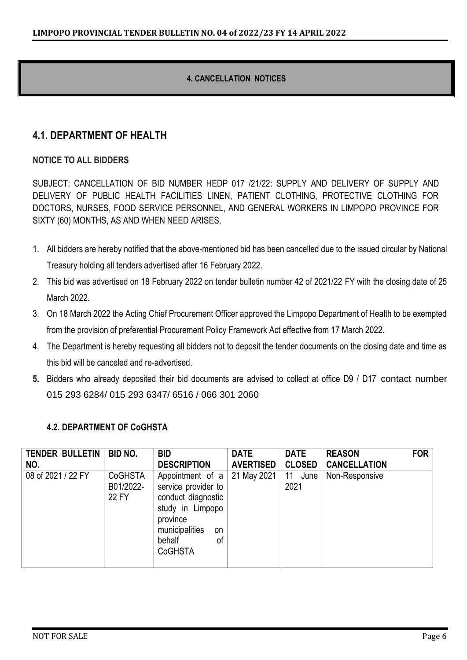#### **4. CANCELLATION NOTICES**

#### **4.1. DEPARTMENT OF HEALTH**

#### **NOTICE TO ALL BIDDERS**

SUBJECT: CANCELLATION OF BID NUMBER HEDP 017 /21/22: SUPPLY AND DELIVERY OF SUPPLY AND DELIVERY OF PUBLIC HEALTH FACILITIES LINEN, PATIENT CLOTHING, PROTECTIVE CLOTHING FOR DOCTORS, NURSES, FOOD SERVICE PERSONNEL, AND GENERAL WORKERS IN LIMPOPO PROVINCE FOR SIXTY (60) MONTHS, AS AND WHEN NEED ARISES.

- 1. All bidders are hereby notified that the above-mentioned bid has been cancelled due to the issued circular by National Treasury holding all tenders advertised after 16 February 2022.
- 2. This bid was advertised on 18 February 2022 on tender bulletin number 42 of 2021/22 FY with the closing date of 25 March 2022.
- 3. On 18 March 2022 the Acting Chief Procurement Officer approved the Limpopo Department of Health to be exempted from the provision of preferential Procurement Policy Framework Act effective from 17 March 2022.
- 4. The Department is hereby requesting all bidders not to deposit the tender documents on the closing date and time as this bid will be canceled and re-advertised.
- **5.** Bidders who already deposited their bid documents are advised to collect at office D9 / D17 contact number 015 293 6284/ 015 293 6347/ 6516 / 066 301 2060

#### **4.2. DEPARTMENT OF CoGHSTA**

| <b>TENDER BULLETIN</b><br>NO. | <b>BID NO.</b>                       | <b>BID</b><br><b>DESCRIPTION</b>                                                                                                                        | <b>DATE</b><br><b>AVERTISED</b> | <b>DATE</b><br><b>CLOSED</b> | <b>REASON</b><br><b>CANCELLATION</b> | <b>FOR</b> |
|-------------------------------|--------------------------------------|---------------------------------------------------------------------------------------------------------------------------------------------------------|---------------------------------|------------------------------|--------------------------------------|------------|
| 08 of 2021 / 22 FY            | <b>CoGHSTA</b><br>B01/2022-<br>22 FY | Appointment of a<br>service provider to<br>conduct diagnostic<br>study in Limpopo<br>province<br>municipalities<br>on<br>behalf<br>οf<br><b>CoGHSTA</b> | 21 May 2021                     | 11<br>June<br>2021           | Non-Responsive                       |            |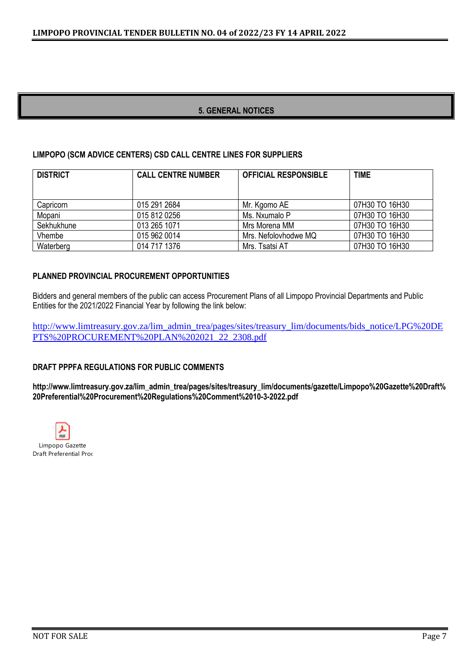#### **5. GENERAL NOTICES**

#### **LIMPOPO (SCM ADVICE CENTERS) CSD CALL CENTRE LINES FOR SUPPLIERS**

| <b>DISTRICT</b> | <b>CALL CENTRE NUMBER</b> | <b>OFFICIAL RESPONSIBLE</b> | <b>TIME</b>    |
|-----------------|---------------------------|-----------------------------|----------------|
|                 |                           |                             |                |
| Capricorn       | 015 291 2684              | Mr. Kgomo AE                | 07H30 TO 16H30 |
| Mopani          | 015 812 0256              | Ms. Nxumalo P               | 07H30 TO 16H30 |
| Sekhukhune      | 013 265 1071              | Mrs Morena MM               | 07H30 TO 16H30 |
| Vhembe          | 015 962 0014              | Mrs. Nefolovhodwe MQ        | 07H30 TO 16H30 |
| Waterberg       | 014 717 1376              | Mrs. Tsatsi AT              | 07H30 TO 16H30 |

#### **PLANNED PROVINCIAL PROCUREMENT OPPORTUNITIES**

Bidders and general members of the public can access Procurement Plans of all Limpopo Provincial Departments and Public Entities for the 2021/2022 Financial Year by following the link below:

[http://www.limtreasury.gov.za/lim\\_admin\\_trea/pages/sites/treasury\\_lim/documents/bids\\_notice/LPG%20DE](http://www.limtreasury.gov.za/lim_admin_trea/pages/sites/treasury_lim/documents/bids_notice/LPG%20DEPTS%20PROCUREMENT%20PLAN%202021_22_2308.pdf) [PTS%20PROCUREMENT%20PLAN%202021\\_22\\_2308.pdf](http://www.limtreasury.gov.za/lim_admin_trea/pages/sites/treasury_lim/documents/bids_notice/LPG%20DEPTS%20PROCUREMENT%20PLAN%202021_22_2308.pdf)

#### **DRAFT PPPFA REGULATIONS FOR PUBLIC COMMENTS**

**http://www.limtreasury.gov.za/lim\_admin\_trea/pages/sites/treasury\_lim/documents/gazette/Limpopo%20Gazette%20Draft% 20Preferential%20Procurement%20Regulations%20Comment%2010-3-2022.pdf**

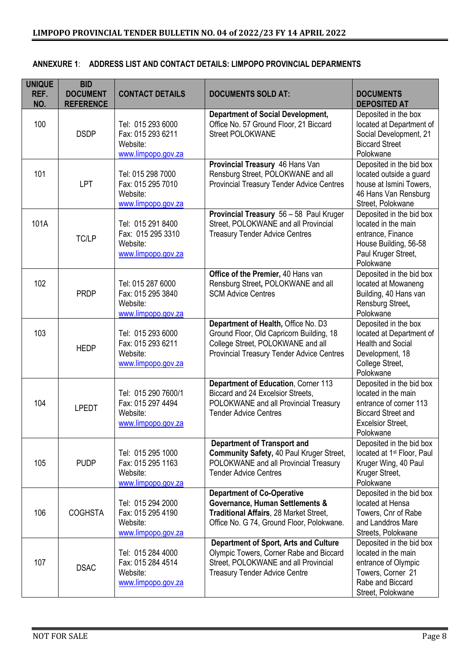| <b>UNIQUE</b><br>REF.<br>NO. | <b>BID</b><br><b>DOCUMENT</b><br><b>REFERENCE</b> | <b>CONTACT DETAILS</b>                                                     | <b>DOCUMENTS SOLD AT:</b>                                                                                                                                                | <b>DOCUMENTS</b><br><b>DEPOSITED AT</b>                                                                                                         |
|------------------------------|---------------------------------------------------|----------------------------------------------------------------------------|--------------------------------------------------------------------------------------------------------------------------------------------------------------------------|-------------------------------------------------------------------------------------------------------------------------------------------------|
| 100                          | <b>DSDP</b>                                       | Tel: 015 293 6000<br>Fax: 015 293 6211<br>Website:<br>www.limpopo.gov.za   | <b>Department of Social Development,</b><br>Office No. 57 Ground Floor, 21 Biccard<br><b>Street POLOKWANE</b>                                                            | Deposited in the box<br>located at Department of<br>Social Development, 21<br><b>Biccard Street</b><br>Polokwane                                |
| 101                          | <b>LPT</b>                                        | Tel: 015 298 7000<br>Fax: 015 295 7010<br>Website:<br>www.limpopo.gov.za   | Provincial Treasury 46 Hans Van<br>Rensburg Street, POLOKWANE and all<br>Provincial Treasury Tender Advice Centres                                                       | Deposited in the bid box<br>located outside a guard<br>house at Ismini Towers,<br>46 Hans Van Rensburg<br>Street, Polokwane                     |
| 101A                         | TC/LP                                             | Tel: 015 291 8400<br>Fax: 015 295 3310<br>Website:<br>www.limpopo.gov.za   | Provincial Treasury 56 - 58 Paul Kruger<br>Street, POLOKWANE and all Provincial<br><b>Treasury Tender Advice Centres</b>                                                 | Deposited in the bid box<br>located in the main<br>entrance, Finance<br>House Building, 56-58<br>Paul Kruger Street,<br>Polokwane               |
| 102                          | <b>PRDP</b>                                       | Tel: 015 287 6000<br>Fax: 015 295 3840<br>Website:<br>www.limpopo.gov.za   | Office of the Premier, 40 Hans van<br>Rensburg Street, POLOKWANE and all<br><b>SCM Advice Centres</b>                                                                    | Deposited in the bid box<br>located at Mowaneng<br>Building, 40 Hans van<br>Rensburg Street,<br>Polokwane                                       |
| 103                          | <b>HEDP</b>                                       | Tel: 015 293 6000<br>Fax: 015 293 6211<br>Website:<br>www.limpopo.gov.za   | Department of Health, Office No. D3<br>Ground Floor, Old Capricorn Building, 18<br>College Street, POLOKWANE and all<br><b>Provincial Treasury Tender Advice Centres</b> | Deposited in the box<br>located at Department of<br><b>Health and Social</b><br>Development, 18<br>College Street,<br>Polokwane                 |
| 104                          | <b>LPEDT</b>                                      | Tel: 015 290 7600/1<br>Fax: 015 297 4494<br>Website:<br>www.limpopo.gov.za | Department of Education, Corner 113<br>Biccard and 24 Excelsior Streets,<br>POLOKWANE and all Provincial Treasury<br><b>Tender Advice Centres</b>                        | Deposited in the bid box<br>located in the main<br>entrance of corner 113<br><b>Biccard Street and</b><br><b>Excelsior Street,</b><br>Polokwane |
| 105                          | <b>PUDP</b>                                       | Tel: 015 295 1000<br>Fax: 015 295 1163<br>Website:<br>www.limpopo.gov.za   | <b>Department of Transport and</b><br>Community Safety, 40 Paul Kruger Street,<br>POLOKWANE and all Provincial Treasury<br><b>Tender Advice Centres</b>                  | Deposited in the bid box<br>located at 1 <sup>st</sup> Floor, Paul<br>Kruger Wing, 40 Paul<br>Kruger Street,<br>Polokwane                       |
| 106                          | <b>COGHSTA</b>                                    | Tel: 015 294 2000<br>Fax: 015 295 4190<br>Website:<br>www.limpopo.gov.za   | <b>Department of Co-Operative</b><br>Governance, Human Settlements &<br>Traditional Affairs, 28 Market Street,<br>Office No. G 74, Ground Floor, Polokwane.              | Deposited in the bid box<br>located at Hensa<br>Towers, Cnr of Rabe<br>and Landdros Mare<br>Streets, Polokwane                                  |
| 107                          | <b>DSAC</b>                                       | Tel: 015 284 4000<br>Fax: 015 284 4514<br>Website:<br>www.limpopo.gov.za   | <b>Department of Sport, Arts and Culture</b><br>Olympic Towers, Corner Rabe and Biccard<br>Street, POLOKWANE and all Provincial<br><b>Treasury Tender Advice Centre</b>  | Deposited in the bid box<br>located in the main<br>entrance of Olympic<br>Towers, Corner 21<br>Rabe and Biccard<br>Street, Polokwane            |

#### **ANNEXURE 1**: **ADDRESS LIST AND CONTACT DETAILS: LIMPOPO PROVINCIAL DEPARMENTS**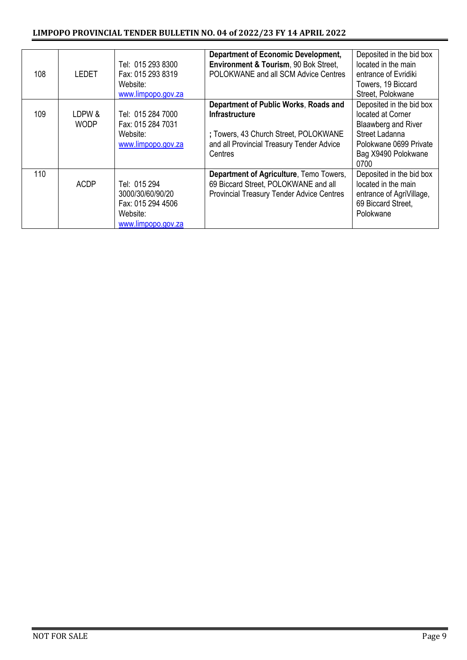| 108 | LEDET                 | Tel: 015 293 8300<br>Fax: 015 293 8319<br>Website:<br>www.limpopo.gov.za                | <b>Department of Economic Development,</b><br>Environment & Tourism, 90 Bok Street,<br>POLOKWANE and all SCM Advice Centres                                     | Deposited in the bid box<br>located in the main<br>entrance of Evridiki<br>Towers, 19 Biccard<br>Street, Polokwane                              |
|-----|-----------------------|-----------------------------------------------------------------------------------------|-----------------------------------------------------------------------------------------------------------------------------------------------------------------|-------------------------------------------------------------------------------------------------------------------------------------------------|
| 109 | LDPW &<br><b>WODP</b> | Tel: 015 284 7000<br>Fax: 015 284 7031<br>Website:<br>www.limpopo.gov.za                | Department of Public Works, Roads and<br><b>Infrastructure</b><br>; Towers, 43 Church Street, POLOKWANE<br>and all Provincial Treasury Tender Advice<br>Centres | Deposited in the bid box<br>located at Corner<br>Blaawberg and River<br>Street Ladanna<br>Polokwane 0699 Private<br>Bag X9490 Polokwane<br>0700 |
| 110 | <b>ACDP</b>           | Tel: 015 294<br>3000/30/60/90/20<br>Fax: 015 294 4506<br>Website:<br>www.limpopo.gov.za | Department of Agriculture, Temo Towers,<br>69 Biccard Street, POLOKWANE and all<br><b>Provincial Treasury Tender Advice Centres</b>                             | Deposited in the bid box<br>located in the main<br>entrance of AgriVillage,<br>69 Biccard Street,<br>Polokwane                                  |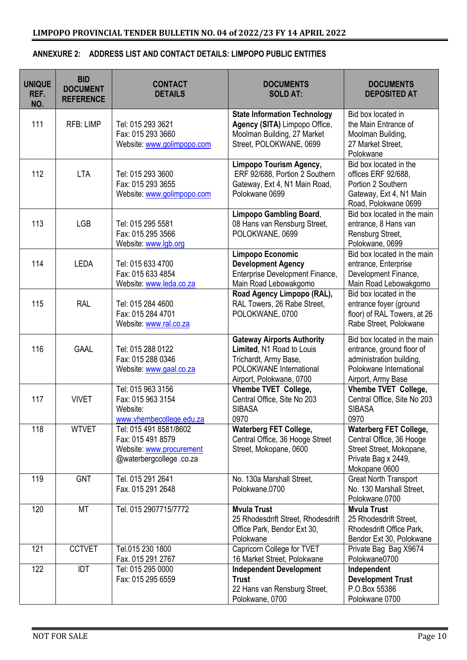|  | ANNEXURE 2: ADDRESS LIST AND CONTACT DETAILS: LIMPOPO PUBLIC ENTITIES |
|--|-----------------------------------------------------------------------|
|--|-----------------------------------------------------------------------|

| <b>UNIQUE</b><br>REF.<br>NO. | <b>BID</b><br><b>DOCUMENT</b><br><b>REFERENCE</b> | <b>CONTACT</b><br><b>DETAILS</b>                                                                   | <b>DOCUMENTS</b><br><b>SOLD AT:</b>                                                                                                            | <b>DOCUMENTS</b><br><b>DEPOSITED AT</b>                                                                                               |
|------------------------------|---------------------------------------------------|----------------------------------------------------------------------------------------------------|------------------------------------------------------------------------------------------------------------------------------------------------|---------------------------------------------------------------------------------------------------------------------------------------|
| 111                          | <b>RFB: LIMP</b>                                  | Tel: 015 293 3621<br>Fax: 015 293 3660<br>Website: www.golimpopo.com                               | <b>State Information Technology</b><br>Agency (SITA) Limpopo Office,<br>Moolman Building, 27 Market<br>Street, POLOKWANE, 0699                 | Bid box located in<br>the Main Entrance of<br>Moolman Building,<br>27 Market Street,<br>Polokwane                                     |
| 112                          | <b>LTA</b>                                        | Tel: 015 293 3600<br>Fax: 015 293 3655<br>Website: www.golimpopo.com                               | Limpopo Tourism Agency,<br>ERF 92/688, Portion 2 Southern<br>Gateway, Ext 4, N1 Main Road,<br>Polokwane 0699                                   | Bid box located in the<br>offices ERF 92/688,<br>Portion 2 Southern<br>Gateway, Ext 4, N1 Main<br>Road, Polokwane 0699                |
| 113                          | <b>LGB</b>                                        | Tel: 015 295 5581<br>Fax: 015 295 3566<br>Website: www.lgb.org                                     | <b>Limpopo Gambling Board,</b><br>08 Hans van Rensburg Street,<br>POLOKWANE, 0699                                                              | Bid box located in the main<br>entrance, 8 Hans van<br>Rensburg Street,<br>Polokwane, 0699                                            |
| 114                          | <b>LEDA</b>                                       | Tel: 015 633 4700<br>Fax: 015 633 4854<br>Website: www.leda.co.za                                  | Limpopo Economic<br><b>Development Agency</b><br>Enterprise Development Finance,<br>Main Road Lebowakgomo                                      | Bid box located in the main<br>entrance, Enterprise<br>Development Finance,<br>Main Road Lebowakgomo                                  |
| 115                          | <b>RAL</b>                                        | Tel: 015 284 4600<br>Fax: 015 284 4701<br>Website: www.ral.co.za                                   | Road Agency Limpopo (RAL),<br>RAL Towers, 26 Rabe Street,<br>POLOKWANE, 0700                                                                   | Bid box located in the<br>entrance foyer (ground<br>floor) of RAL Towers, at 26<br>Rabe Street, Polokwane                             |
| 116                          | <b>GAAL</b>                                       | Tel: 015 288 0122<br>Fax: 015 288 0346<br>Website: www.gaal.co.za                                  | <b>Gateway Airports Authority</b><br>Limited, N1 Road to Louis<br>Trichardt, Army Base,<br>POLOKWANE International<br>Airport, Polokwane, 0700 | Bid box located in the main<br>entrance, ground floor of<br>administration building,<br>Polokwane International<br>Airport, Army Base |
| 117                          | <b>VIVET</b>                                      | Tel: 015 963 3156<br>Fax: 015 963 3154<br>Website:<br>www.vhembecollege.edu.za                     | Vhembe TVET College,<br>Central Office, Site No 203<br><b>SIBASA</b><br>0970                                                                   | Vhembe TVET College,<br>Central Office, Site No 203<br><b>SIBASA</b><br>0970                                                          |
| 118                          | <b>WTVET</b>                                      | Tel: 015 491 8581/8602<br>Fax: 015 491 8579<br>Website: www.procurement<br>@waterbergcollege.co.za | <b>Waterberg FET College,</b><br>Central Office, 36 Hooge Street<br>Street, Mokopane, 0600                                                     | <b>Waterberg FET College,</b><br>Central Office, 36 Hooge<br>Street Street, Mokopane,<br>Private Bag x 2449,<br>Mokopane 0600         |
| 119                          | <b>GNT</b>                                        | Tel. 015 291 2641<br>Fax. 015 291 2648                                                             | No. 130a Marshall Street,<br>Polokwane.0700                                                                                                    | <b>Great North Transport</b><br>No. 130 Marshall Street,<br>Polokwane.0700                                                            |
| 120                          | <b>MT</b>                                         | Tel. 015 2907715/7772                                                                              | <b>Mvula Trust</b><br>25 Rhodesdrift Street, Rhodesdrift<br>Office Park, Bendor Ext 30,<br>Polokwane                                           | <b>Mvula Trust</b><br>25 Rhodesdrift Street,<br>Rhodesdrift Office Park,<br>Bendor Ext 30, Polokwane                                  |
| 121                          | <b>CCTVET</b>                                     | Tel.015 230 1800<br>Fax. 015 291 2767                                                              | Capricorn College for TVET<br>16 Market Street, Polokwane                                                                                      | Private Bag Bag X9674<br>Polokwane0700                                                                                                |
| 122                          | <b>IDT</b>                                        | Tel: 015 295 0000<br>Fax: 015 295 6559                                                             | <b>Independent Development</b><br><b>Trust</b><br>22 Hans van Rensburg Street,<br>Polokwane, 0700                                              | Independent<br><b>Development Trust</b><br>P.O.Box 55386<br>Polokwane 0700                                                            |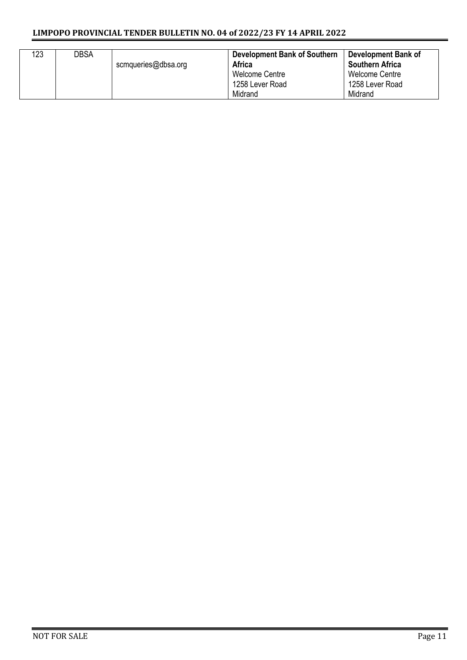#### **LIMPOPO PROVINCIAL TENDER BULLETIN NO. 04 of 2022/23 FY 14 APRIL 2022**

| 123 | DBSA | scmqueries@dbsa.org | <b>Development Bank of Southern</b><br><b>Africa</b><br>Welcome Centre<br>1258 Lever Road<br>Midrand | Development Bank of<br><b>Southern Africa</b><br>Welcome Centre<br>1258 Lever Road<br>Midrand |
|-----|------|---------------------|------------------------------------------------------------------------------------------------------|-----------------------------------------------------------------------------------------------|
|-----|------|---------------------|------------------------------------------------------------------------------------------------------|-----------------------------------------------------------------------------------------------|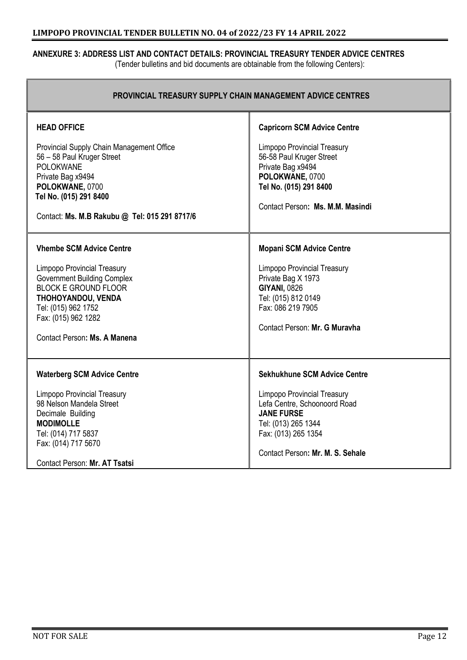#### **ANNEXURE 3: ADDRESS LIST AND CONTACT DETAILS: PROVINCIAL TREASURY TENDER ADVICE CENTRES**

(Tender bulletins and bid documents are obtainable from the following Centers):

| PROVINCIAL TREASURY SUPPLY CHAIN MANAGEMENT ADVICE CENTRES                                                                                                                                                                                     |                                                                                                                                                                                                                  |
|------------------------------------------------------------------------------------------------------------------------------------------------------------------------------------------------------------------------------------------------|------------------------------------------------------------------------------------------------------------------------------------------------------------------------------------------------------------------|
| <b>HEAD OFFICE</b><br>Provincial Supply Chain Management Office<br>56 - 58 Paul Kruger Street<br><b>POLOKWANE</b><br>Private Bag x9494<br>POLOKWANE, 0700<br>Tel No. (015) 291 8400<br>Contact: Ms. M.B Rakubu @ Tel: 015 291 8717/6           | <b>Capricorn SCM Advice Centre</b><br><b>Limpopo Provincial Treasury</b><br>56-58 Paul Kruger Street<br>Private Bag x9494<br>POLOKWANE, 0700<br>Tel No. (015) 291 8400<br>Contact Person: Ms. M.M. Masindi       |
| <b>Vhembe SCM Advice Centre</b><br><b>Limpopo Provincial Treasury</b><br><b>Government Building Complex</b><br><b>BLOCK E GROUND FLOOR</b><br>THOHOYANDOU, VENDA<br>Tel: (015) 962 1752<br>Fax: (015) 962 1282<br>Contact Person: Ms. A Manena | <b>Mopani SCM Advice Centre</b><br><b>Limpopo Provincial Treasury</b><br>Private Bag X 1973<br><b>GIYANI, 0826</b><br>Tel: (015) 812 0149<br>Fax: 086 219 7905<br>Contact Person: Mr. G Muravha                  |
| <b>Waterberg SCM Advice Centre</b><br><b>Limpopo Provincial Treasury</b><br>98 Nelson Mandela Street<br>Decimale Building<br><b>MODIMOLLE</b><br>Tel: (014) 717 5837<br>Fax: (014) 717 5670<br>Contact Person: Mr. AT Tsatsi                   | <b>Sekhukhune SCM Advice Centre</b><br><b>Limpopo Provincial Treasury</b><br>Lefa Centre, Schoonoord Road<br><b>JANE FURSE</b><br>Tel: (013) 265 1344<br>Fax: (013) 265 1354<br>Contact Person: Mr. M. S. Sehale |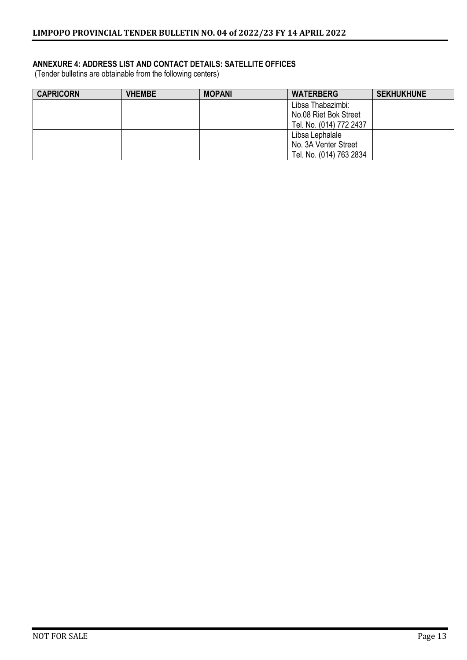#### **ANNEXURE 4: ADDRESS LIST AND CONTACT DETAILS: SATELLITE OFFICES**

(Tender bulletins are obtainable from the following centers)

| <b>CAPRICORN</b> | <b>VHEMBE</b> | <b>MOPANI</b> | <b>WATERBERG</b>        | <b>SEKHUKHUNE</b> |
|------------------|---------------|---------------|-------------------------|-------------------|
|                  |               |               | Libsa Thabazimbi:       |                   |
|                  |               |               | No.08 Riet Bok Street   |                   |
|                  |               |               | Tel. No. (014) 772 2437 |                   |
|                  |               |               | Libsa Lephalale         |                   |
|                  |               |               | No. 3A Venter Street    |                   |
|                  |               |               | Tel. No. (014) 763 2834 |                   |